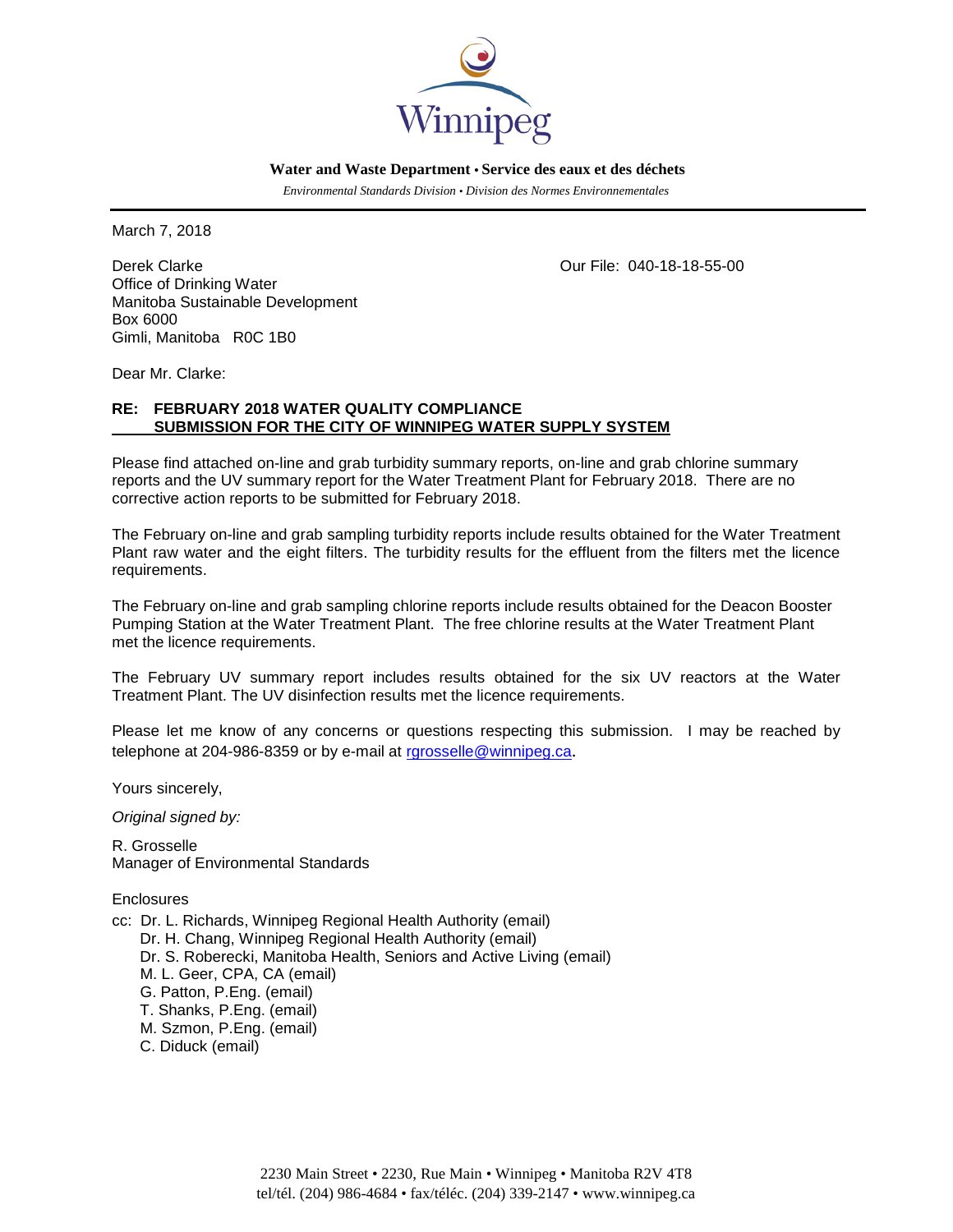

 **Water and Waste Department • Service des eaux et des déchets**

 *Environmental Standards Division • Division des Normes Environnementales*

March 7, 2018

Derek Clarke Clarke Clarke Clarke Clarke Clarke Clarke Clarke Clarke Clarke Clarke Clarke Clarke Clarke Clarke Office of Drinking Water Manitoba Sustainable Development Box 6000 Gimli, Manitoba R0C 1B0

Dear Mr. Clarke:

# **RE: FEBRUARY 2018 WATER QUALITY COMPLIANCE SUBMISSION FOR THE CITY OF WINNIPEG WATER SUPPLY SYSTEM**

Please find attached on-line and grab turbidity summary reports, on-line and grab chlorine summary reports and the UV summary report for the Water Treatment Plant for February 2018. There are no corrective action reports to be submitted for February 2018.

The February on-line and grab sampling turbidity reports include results obtained for the Water Treatment Plant raw water and the eight filters. The turbidity results for the effluent from the filters met the licence requirements.

The February on-line and grab sampling chlorine reports include results obtained for the Deacon Booster Pumping Station at the Water Treatment Plant. The free chlorine results at the Water Treatment Plant met the licence requirements.

The February UV summary report includes results obtained for the six UV reactors at the Water Treatment Plant. The UV disinfection results met the licence requirements.

Please let me know of any concerns or questions respecting this submission. I may be reached by telephone at 204-986-8359 or by e-mail at [rgrosselle@winnipeg.ca](mailto:rgrosselle@winnipeg.ca).

Yours sincerely,

*Original signed by:*

R. Grosselle Manager of Environmental Standards

**Enclosures** 

cc: Dr. L. Richards, Winnipeg Regional Health Authority (email) Dr. H. Chang, Winnipeg Regional Health Authority (email) Dr. S. Roberecki, Manitoba Health, Seniors and Active Living (email) M. L. Geer, CPA, CA (email) G. Patton, P.Eng. (email) T. Shanks, P.Eng. (email) M. Szmon, P.Eng. (email) C. Diduck (email)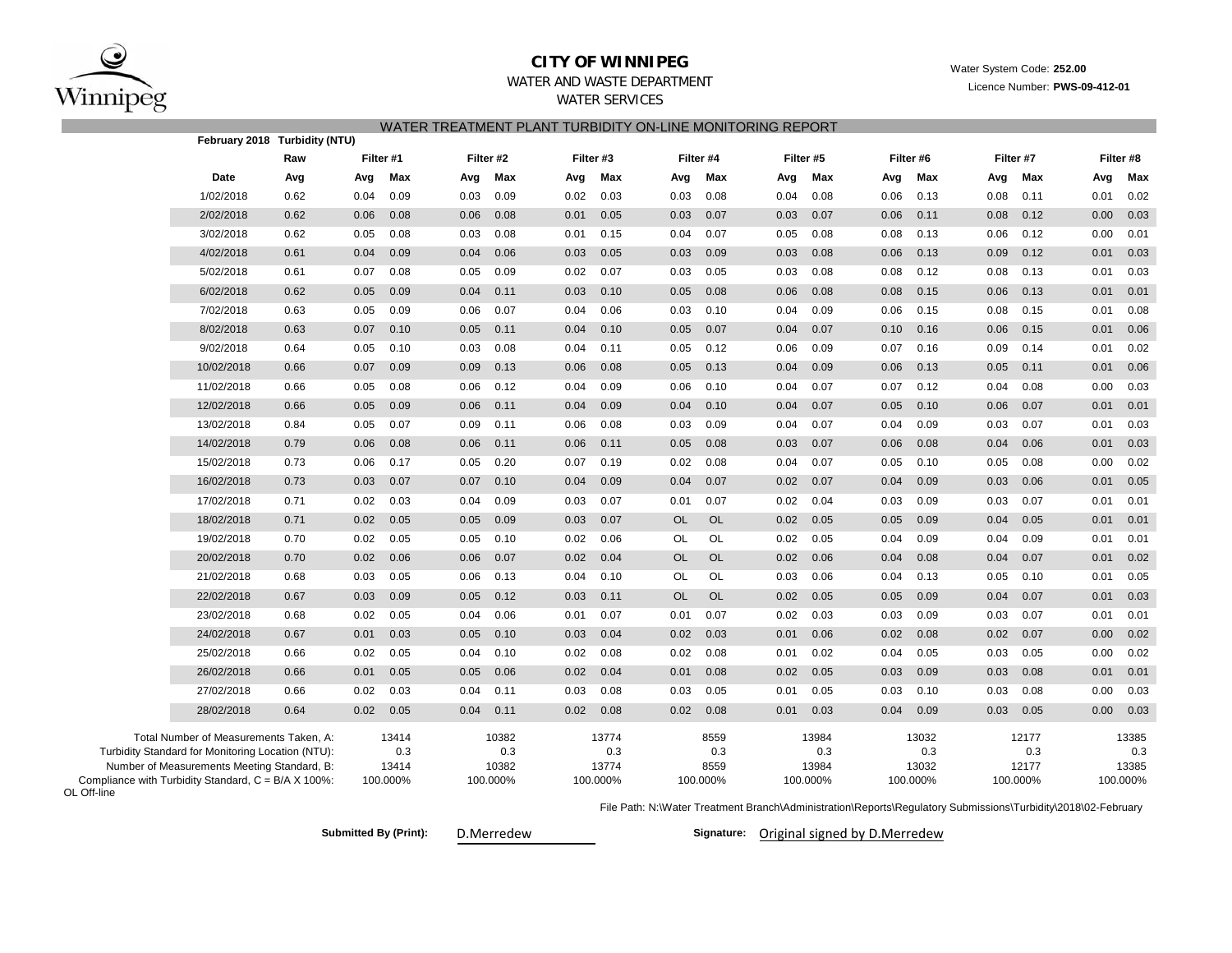

OL Off-line

## **CITY OF WINNIPEG**

Water System Code: **252.00**

Licence Number: **PWS-09-412-01**

# WATER AND WASTE DEPARTMENT

WATER SERVICES

|                                                                                             |            |                               |              |          |              |           | WATER TREATMENT PLANT TURBIDITY ON-LINE MONITORING REPORT |          |             |           |              |           |              |           |              |           |              |           |  |
|---------------------------------------------------------------------------------------------|------------|-------------------------------|--------------|----------|--------------|-----------|-----------------------------------------------------------|----------|-------------|-----------|--------------|-----------|--------------|-----------|--------------|-----------|--------------|-----------|--|
|                                                                                             |            | February 2018 Turbidity (NTU) |              |          |              |           |                                                           |          |             |           |              |           |              |           |              |           |              |           |  |
|                                                                                             |            | Raw                           | Filter #1    |          |              | Filter #2 | Filter #3                                                 |          |             | Filter #4 |              | Filter #5 |              | Filter #6 |              | Filter #7 |              | Filter #8 |  |
|                                                                                             | Date       | Avg                           | Avg          | Max      | Avg          | Max       | Avg                                                       | Max      | Avg         | Max       | Avg          | Max       | Avg          | Max       | Avg          | Max       | Avg          | Max       |  |
|                                                                                             | 1/02/2018  | 0.62                          | 0.04         | 0.09     | 0.03         | 0.09      | 0.02                                                      | 0.03     | 0.03        | 0.08      | 0.04         | 0.08      | 0.06         | 0.13      | 0.08         | 0.11      | 0.01         | 0.02      |  |
|                                                                                             | 2/02/2018  | 0.62                          | 0.06         | 0.08     | 0.06         | 0.08      | 0.01                                                      | 0.05     | 0.03        | 0.07      | 0.03         | 0.07      | 0.06         | 0.11      | 0.08         | 0.12      | 0.00         | 0.03      |  |
|                                                                                             | 3/02/2018  | 0.62                          | 0.05         | 0.08     | 0.03         | 0.08      | 0.01                                                      | 0.15     | 0.04        | 0.07      | 0.05         | 0.08      | 0.08         | 0.13      | 0.06         | 0.12      | 0.00         | 0.01      |  |
|                                                                                             | 4/02/2018  | 0.61                          | 0.04         | 0.09     | 0.04         | 0.06      | 0.03                                                      | 0.05     | 0.03        | 0.09      | 0.03         | 0.08      | 0.06         | 0.13      | 0.09         | 0.12      | 0.01         | 0.03      |  |
|                                                                                             | 5/02/2018  | 0.61                          | 0.07         | 0.08     | 0.05         | 0.09      | 0.02                                                      | 0.07     | 0.03        | 0.05      | 0.03         | 0.08      | 0.08         | 0.12      | 0.08         | 0.13      | 0.01         | 0.03      |  |
|                                                                                             | 6/02/2018  | 0.62                          | 0.05         | 0.09     | 0.04         | 0.11      | 0.03                                                      | 0.10     | 0.05        | 0.08      | 0.06         | 0.08      | 0.08         | 0.15      | 0.06         | 0.13      | 0.01         | 0.01      |  |
|                                                                                             | 7/02/2018  | 0.63                          | 0.05         | 0.09     | 0.06         | 0.07      | 0.04                                                      | 0.06     | 0.03        | 0.10      | 0.04         | 0.09      | 0.06         | 0.15      | 0.08         | 0.15      | 0.01         | 0.08      |  |
|                                                                                             | 8/02/2018  | 0.63                          | 0.07         | 0.10     | 0.05         | 0.11      | 0.04                                                      | 0.10     | 0.05        | 0.07      | 0.04         | 0.07      | 0.10         | 0.16      | 0.06         | 0.15      | 0.01         | 0.06      |  |
|                                                                                             | 9/02/2018  | 0.64                          | 0.05         | 0.10     | 0.03         | 0.08      | 0.04                                                      | 0.11     | 0.05        | 0.12      | 0.06         | 0.09      | 0.07         | 0.16      | 0.09         | 0.14      | 0.01         | 0.02      |  |
|                                                                                             | 10/02/2018 | 0.66                          | 0.07         | 0.09     | 0.09         | 0.13      | 0.06                                                      | 0.08     | 0.05        | 0.13      | 0.04         | 0.09      | 0.06         | 0.13      | 0.05         | 0.11      | 0.01         | 0.06      |  |
|                                                                                             | 11/02/2018 | 0.66                          | 0.05         | 0.08     | 0.06         | 0.12      | 0.04                                                      | 0.09     | 0.06        | 0.10      | 0.04         | 0.07      | 0.07         | 0.12      | 0.04         | 0.08      | 0.00         | 0.03      |  |
|                                                                                             | 12/02/2018 | 0.66                          | 0.05         | 0.09     | 0.06         | 0.11      | 0.04                                                      | 0.09     | 0.04        | 0.10      | 0.04         | 0.07      | 0.05         | 0.10      | 0.06         | 0.07      | 0.01         | 0.01      |  |
|                                                                                             | 13/02/2018 | 0.84                          | 0.05         | 0.07     | 0.09         | 0.11      | 0.06                                                      | 0.08     | 0.03        | 0.09      | 0.04         | 0.07      | 0.04         | 0.09      | 0.03         | 0.07      | 0.01         | 0.03      |  |
|                                                                                             | 14/02/2018 | 0.79                          | 0.06         | 0.08     | 0.06         | 0.11      | 0.06                                                      | 0.11     | 0.05        | 0.08      | 0.03         | 0.07      | 0.06         | 0.08      | 0.04         | 0.06      | 0.01         | 0.03      |  |
|                                                                                             | 15/02/2018 | 0.73                          | 0.06         | 0.17     | 0.05         | 0.20      | 0.07                                                      | 0.19     | 0.02        | 0.08      | 0.04         | 0.07      | 0.05         | 0.10      | 0.05         | 0.08      | 0.00         | 0.02      |  |
|                                                                                             | 16/02/2018 | 0.73                          | 0.03         | 0.07     | 0.07         | 0.10      | 0.04                                                      | 0.09     | 0.04        | 0.07      | 0.02         | 0.07      | 0.04         | 0.09      | 0.03         | 0.06      | 0.01         | 0.05      |  |
|                                                                                             | 17/02/2018 | 0.71                          | 0.02         | 0.03     | 0.04         | 0.09      | 0.03                                                      | 0.07     | 0.01        | 0.07      | 0.02         | 0.04      | 0.03         | 0.09      | 0.03         | 0.07      | 0.01         | 0.01      |  |
|                                                                                             | 18/02/2018 | 0.71                          | 0.02         | 0.05     | 0.05         | 0.09      | 0.03                                                      | 0.07     | <b>OL</b>   | <b>OL</b> | 0.02         | 0.05      | 0.05         | 0.09      | 0.04         | 0.05      | 0.01         | 0.01      |  |
|                                                                                             | 19/02/2018 | 0.70                          | 0.02         | 0.05     | 0.05         | 0.10      | 0.02                                                      | 0.06     | OL          | OL        | 0.02         | 0.05      | 0.04         | 0.09      | 0.04         | 0.09      | 0.01         | 0.01      |  |
|                                                                                             | 20/02/2018 | 0.70                          | 0.02         | 0.06     | 0.06         | 0.07      | 0.02                                                      | 0.04     | <b>OL</b>   | <b>OL</b> | 0.02         | 0.06      | 0.04         | 0.08      | 0.04         | 0.07      | 0.01         | 0.02      |  |
|                                                                                             | 21/02/2018 | 0.68                          | 0.03         | 0.05     | 0.06         | 0.13      | 0.04                                                      | 0.10     | OL          | OL        | 0.03         | 0.06      | 0.04         | 0.13      | 0.05         | 0.10      | 0.01         | 0.05      |  |
|                                                                                             | 22/02/2018 | 0.67                          | 0.03         | 0.09     | 0.05         | 0.12      | 0.03                                                      | 0.11     | <b>OL</b>   | <b>OL</b> | 0.02         | 0.05      | 0.05         | 0.09      | 0.04         | 0.07      | 0.01         | 0.03      |  |
|                                                                                             | 23/02/2018 | 0.68                          | 0.02         | 0.05     | 0.04         | 0.06      | 0.01                                                      | 0.07     | 0.01        | 0.07      | 0.02         | 0.03      | 0.03         | 0.09      | 0.03         | 0.07      | 0.01         | 0.01      |  |
|                                                                                             | 24/02/2018 | 0.67                          | 0.01         | 0.03     | 0.05         | 0.10      | 0.03                                                      | 0.04     | 0.02        | 0.03      | 0.01         | 0.06      | 0.02         | 0.08      | 0.02         | 0.07      | 0.00         | 0.02      |  |
|                                                                                             | 25/02/2018 | 0.66                          | 0.02         | 0.05     | 0.04         | 0.10      | 0.02                                                      | 0.08     | 0.02        | 0.08      | 0.01         | 0.02      | 0.04         | 0.05      | 0.03         | 0.05      | 0.00         | 0.02      |  |
|                                                                                             | 26/02/2018 | 0.66                          | 0.01         | 0.05     | 0.05         | 0.06      | 0.02                                                      | 0.04     | 0.01        | 0.08      | 0.02         | 0.05      | 0.03         | 0.09      | 0.03         | 0.08      | 0.01         | 0.01      |  |
|                                                                                             | 27/02/2018 | 0.66                          | 0.02         | 0.03     | 0.04         | 0.11      | 0.03                                                      | 0.08     | 0.03        | 0.05      | 0.01         | 0.05      | 0.03         | 0.10      | 0.03         | 0.08      | 0.00         | 0.03      |  |
|                                                                                             | 28/02/2018 | 0.64                          | 0.02         | 0.05     | 0.04         | 0.11      | 0.02                                                      | 0.08     | 0.02        | 0.08      | 0.01         | 0.03      | 0.04         | 0.09      | 0.03         | 0.05      | 0.00         | 0.03      |  |
|                                                                                             |            |                               |              |          |              |           |                                                           |          |             |           |              |           |              |           |              |           |              |           |  |
| Total Number of Measurements Taken, A:<br>Turbidity Standard for Monitoring Location (NTU): |            |                               | 13414<br>0.3 |          | 10382<br>0.3 |           | 13774<br>0.3                                              |          | 8559<br>0.3 |           | 13984<br>0.3 |           | 13032<br>0.3 |           | 12177<br>0.3 |           | 13385<br>0.3 |           |  |
| Number of Measurements Meeting Standard, B:                                                 |            |                               | 13414        |          | 10382        |           | 13774                                                     |          | 8559        |           | 13984        |           | 13032        |           | 12177        |           | 13385        |           |  |
| Compliance with Turbidity Standard, C = B/A X 100%:                                         |            |                               |              | 100.000% |              | 100.000%  |                                                           | 100.000% |             | 100.000%  |              | 100.000%  |              | 100.000%  |              | 100.000%  |              | 100.000%  |  |

File Path: N:\Water Treatment Branch\Administration\Reports\Regulatory Submissions\Turbidity\2018\02-February

Submitted By (Print): D.Merredew **Communisty Communisty Communisty Communisty Communisty Communisty Original signed by D.Merredew**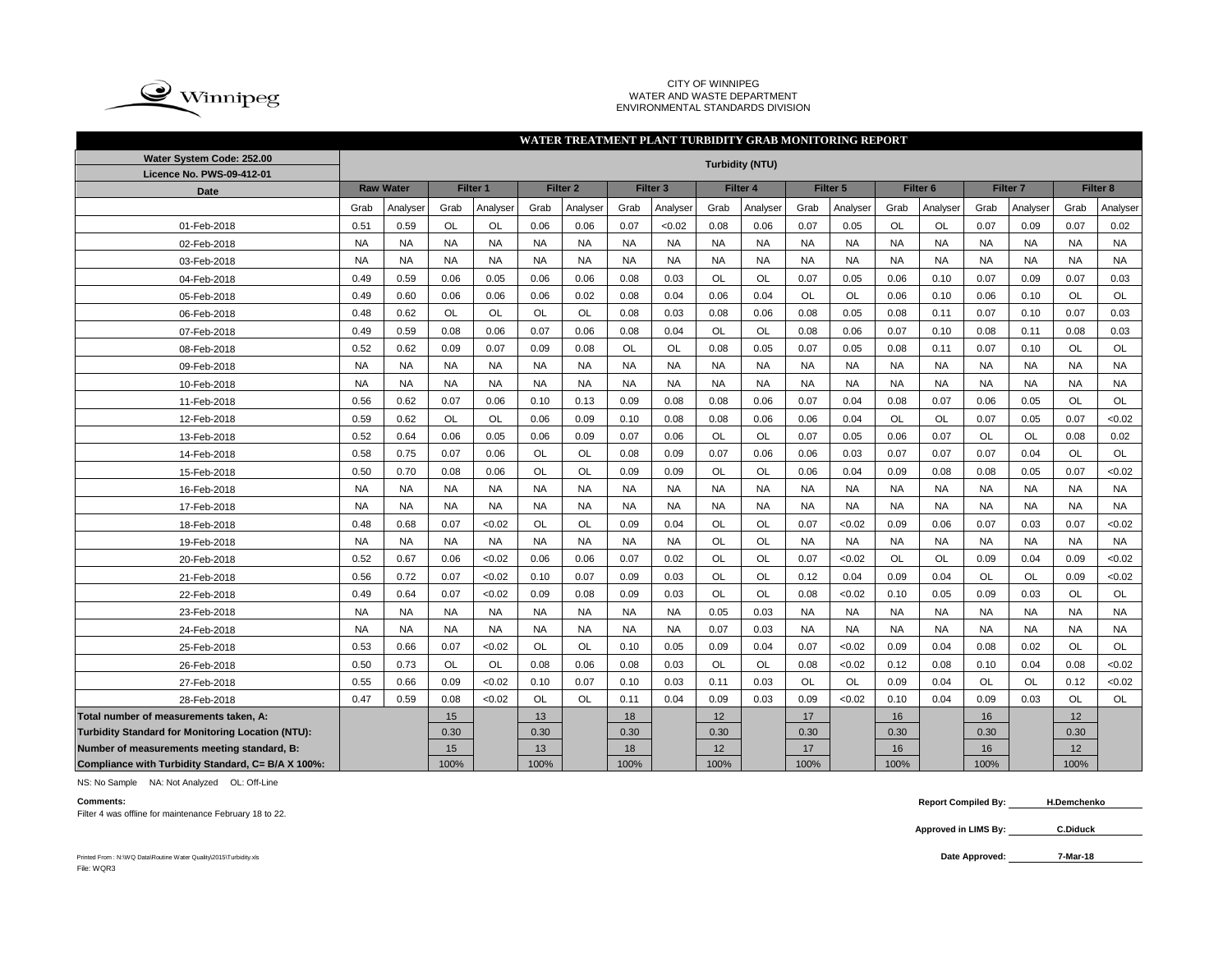

### CITY OF WINNIPEG WATER AND WASTE DEPARTMENT ENVIRONMENTAL STANDARDS DIVISION

### Grab |Analyser| Grab |Analyser| Grab |Analyser| Grab |Analyser| Grab |Analyser| Grab |Analyser| Grab |Grab |Analyser| Grab |Analyser 0.51 | 0.59 | OL | OL | 0.06 | 0.06 | 0.07 | <0.02 | 0.08 | 0.06 | 0.07 | 0.05 | OL | OL | 0.07 | 0.09 | 0.07 | 0.02 NA NA NA NA NA NA NA NA NA NA NA NA NA NA NA NA NA NA NA NA NA NA NA NA NA NA NA NA NA NA NA NA NA NA NA NA 0.49 | 0.59 | 0.06 | 0.05 | 0.06 | 0.06 | 0.08 | 0.03 | OL | OL | 0.07 | 0.05 | 0.06 | 0.10 | 0.07 | 0.09 | 0.07 | 0.03 0.49 | 0.60 | 0.06 | 0.06 | 0.06 | 0.02 | 0.08 | 0.04 | 0.06 | 0.04 | OL | OL | 0.06 | 0.10 | 0.06 | 0.10 | OL | OL 0.48 | 0.62 | OL | OL | OL | OL | 0.08 | 0.03 | 0.08 | 0.06 | 0.08 | 0.05 | 0.08 | 0.11 | 0.07 | 0.10 | 0.07 | 0.03 0.49 | 0.59 | 0.08 | 0.06 | 0.07 | 0.06 | 0.08 | 0.04 | OL | OL | 0.08 | 0.06 | 0.07 | 0.10 | 0.08 | 0.11 | 0.08 | 0.03 0.52 | 0.62 | 0.09 | 0.07 | 0.09 | 0.08 | OL | OL | 0.08 | 0.05 | 0.07 | 0.05 | 0.08 | 0.11 | 0.07 | 0.10 | OL | OL NA NA NA NA NA NA NA NA NA NA NA NA NA NA NA NA NA NA NA NA NA NA NA NA NA NA NA NA NA NA NA NA NA NA NA NA 0.56 | 0.62 | 0.07 | 0.06 | 0.10 | 0.13 | 0.09 | 0.08 | 0.08 | 0.06 | 0.07 | 0.04 | 0.08 | 0.07 | 0.06 | 0.05 | OL | OL 0.59 | 0.62 | OL | OL | 0.06 | 0.09 | 0.10 | 0.08 | 0.08 | 0.06 | 0.06 | 0.04 | OL | OL | 0.07 | 0.05 | 0.07 | <0.02 0.52 | 0.64 | 0.06 | 0.05 | 0.06 | 0.09 | 0.07 | 0.06 | OL | OL | 0.07 | 0.05 | 0.06 | 0.07 | OL | OL | 0.08 | 0.02 0.58 | 0.75 | 0.07 | 0.06 | OL | OL | 0.08 | 0.09 | 0.07 | 0.06 | 0.06 | 0.03 | 0.07 | 0.07 | 0.07 | 0.04 | OL | OL 0.50 | 0.70 | 0.08 | 0.06 | OL | OL | 0.09 | 0.09 | OL | OL | 0.06 | 0.04 | 0.09 | 0.08 | 0.08 | 0.05 | 0.07 | <0.02 NA NA NA NA NA NA NA NA NA NA NA NA NA NA NA NA NA NA NA NA NA NA NA NA NA NA NA NA NA NA NA NA NA NA NA NA 0.48 | 0.68 | 0.07 | <0.02 | OL | OL | 0.09 | 0.04 | OL | OL | 0.07 | <0.02 | 0.09 | 0.06 | 0.07 | 0.03 | 0.07 | <0.02 NA NA NA NA NA NA NA NA OL OL NA NA NA NA NA NA NA NA 0.52 | 0.67 | 0.06 | <0.02 | 0.06 | 0.06 | 0.07 | 0.02 | OL | OL | 0.07 | <0.02 | OL | OL | 0.09 | 0.04 | 0.09 | <0.02 0.56 | 0.72 | 0.07 | <0.02 | 0.10 | 0.07 | 0.09 | 0.03 | OL | OL | 0.12 | 0.04 | 0.09 | 0.04 | OL | OL | OL | 0.09 | <0.02 0.49 | 0.64 | 0.07 | <0.02 | 0.09 | 0.08 | 0.09 | 0.03 | OL | OL | 0.08 | <0.02 | 0.10 | 0.05 | 0.09 | 0.03 | OL | OL NA NA NA NA NA NA NA NA 0.05 0.03 NA NA NA NA NA NA NA NA NA NA NA NA NA NA NA NA 0.07 0.03 NA NA NA NA NA NA NA NA 0.53 | 0.66 | 0.07 | <0.02 | OL | OL | 0.10 | 0.05 | 0.09 | 0.04 | 0.07 | <0.02 | 0.04 | 0.08 | 0.02 | OL | OL 0.50 | 0.73 | OL | OL | 0.08 | 0.06 | 0.08 | 0.03 | OL | OL | 0.08 | <0.02 | 0.12 | 0.08 | 0.10 | 0.04 | 0.08 | <0.02 0.55 | 0.66 | 0.09 | <0.02 | 0.10 | 0.07 | 0.10 | 0.03 | 0.11 | 0.03 | OL | OL | 0.09 | 0.04 | OL | OL | OL | 0.12 | <0.02 0.47 | 0.59 | 0.08 | <0.02 | OL | OL | 0.11 | 0.04 | 0.09 | 0.03 | 0.09 | <0.02 | 0.10 | 0.04 | 0.09 | 0.03 | OL | OL **Total number of measurements taken, A:** 15 13 18 12 17 16 16 12 **Turbidity Standard for Monitoring Location (NTU):** | 0.30 | 0.30 | 0.30 | 0.30 | 0.30 | 0.30 | 0.30 | 0.30 | 0.30 **Number of measurements meeting standard, B:** 15 13 18 12 17 16 16 12 **Compliance with Turbidity Standard, C= B/A X 100%:** 100% 100% 100% 100% 100% 100% 100% 100% **WATER TREATMENT PLANT TURBIDITY GRAB MONITORING REPORT Water System Code: 252.00 Turbidity (NTU) Licence No. PWS-09-412-01 Date Raw Water Filter 1 Filter 2 Filter 3 Filter 4 Filter 5 Filter 6 Filter 7 Filter 8** 12-Feb-2018 01-Feb-2018 02-Feb-2018 03-Feb-2018 04-Feb-2018 05-Feb-2018 06-Feb-2018 07-Feb-2018 08-Feb-2018 09-Feb-2018 10-Feb-2018 11-Feb-2018 24-Feb-2018 13-Feb-2018 14-Feb-2018 15-Feb-2018 16-Feb-2018 17-Feb-2018 18-Feb-2018 19-Feb-2018 20-Feb-2018 21-Feb-2018 22-Feb-2018 23-Feb-2018 25-Feb-2018 26-Feb-2018 27-Feb-2018 28-Feb-2018

NS: No Sample NA: Not Analyzed OL: Off-Line

Filter 4 was offline for maintenance February 18 to 22.

**Comments: Report Compiled By: H.Demchenko**

> **Approved in LIMS By: C.Diduck**

Printed From : N:\WQ Data\Routine Water Quality\2015\Turbidity.xls **Data Approved:** File: WQR3

**7-Mar-18**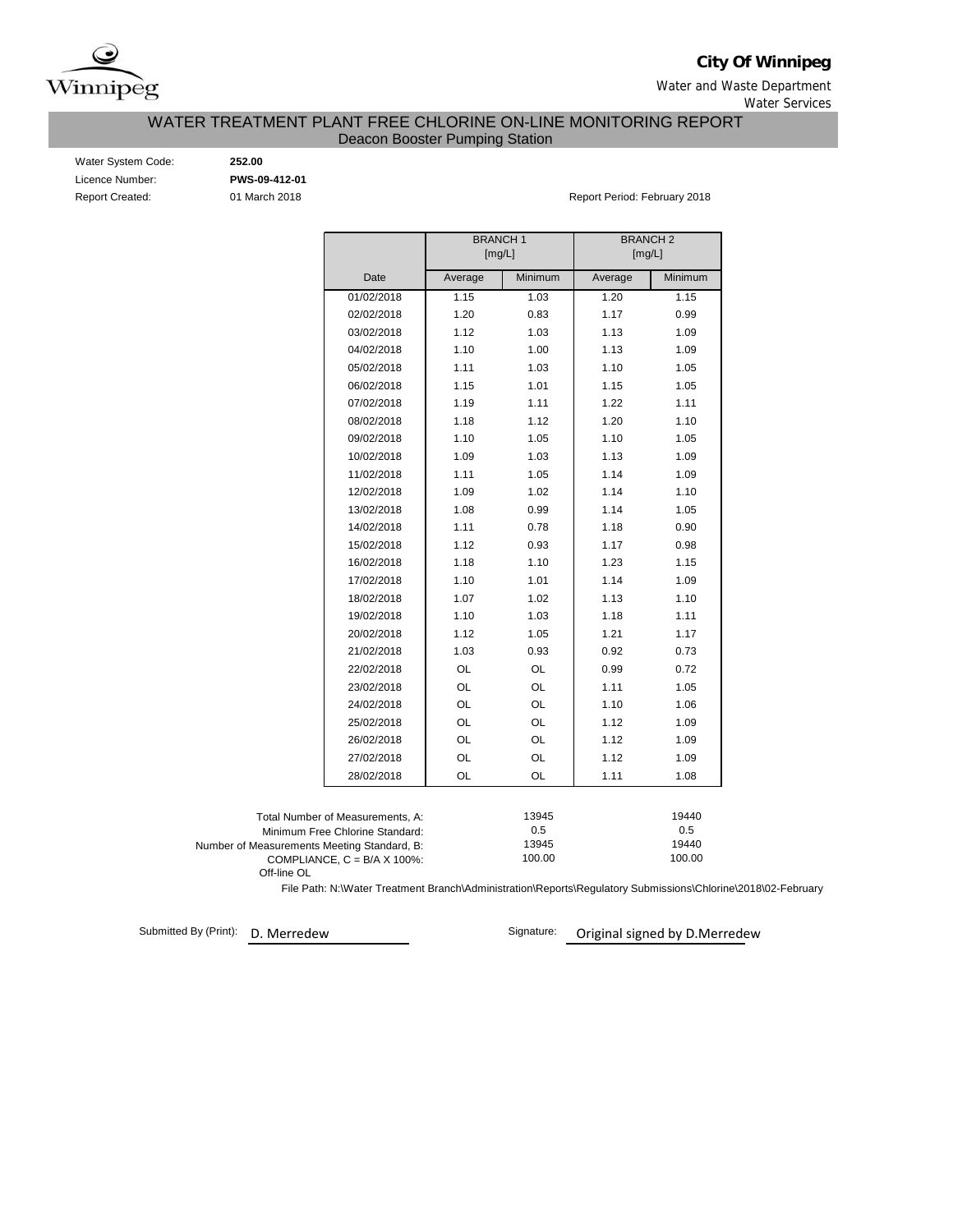

**City Of Winnipeg**

Water and Waste Department Water Services

WATER TREATMENT PLANT FREE CHLORINE ON-LINE MONITORING REPORT

Deacon Booster Pumping Station

| Water System Code:     |
|------------------------|
| Licence Number:        |
| <b>Report Created:</b> |

Water System Code: **252.00** Licence Number: **PWS-09-412-01**

01 March 2018 **Report Period: February 2018** Report Period: February 2018

|                                                                     | <b>BRANCH1</b><br>[mg/L] |              | <b>BRANCH2</b><br>[mg/L] |              |  |  |
|---------------------------------------------------------------------|--------------------------|--------------|--------------------------|--------------|--|--|
| Date                                                                | Average                  | Minimum      | Average                  | Minimum      |  |  |
| 01/02/2018                                                          | 1.15                     | 1.03         | 1.20                     | 1.15         |  |  |
| 02/02/2018                                                          | 1.20                     | 0.83         | 1.17                     | 0.99         |  |  |
| 03/02/2018                                                          | 1.12                     | 1.03         | 1.13                     | 1.09         |  |  |
| 04/02/2018                                                          | 1.10                     | 1.00         | 1.13                     | 1.09         |  |  |
| 05/02/2018                                                          | 1.11                     | 1.03         | 1.10                     | 1.05         |  |  |
| 06/02/2018                                                          | 1.15                     | 1.01         | 1.15                     | 1.05         |  |  |
| 07/02/2018                                                          | 1.19                     | 1.11         | 1.22                     | 1.11         |  |  |
| 08/02/2018                                                          | 1.18                     | 1.12         | 1.20                     | 1.10         |  |  |
| 09/02/2018                                                          | 1.10                     | 1.05         | 1.10                     | 1.05         |  |  |
| 10/02/2018                                                          | 1.09                     | 1.03         | 1.13                     | 1.09         |  |  |
| 11/02/2018                                                          | 1.11                     | 1.05         | 1.14                     | 1.09         |  |  |
| 12/02/2018                                                          | 1.09                     | 1.02         | 1.14                     | 1.10         |  |  |
| 13/02/2018                                                          | 1.08                     | 0.99         | 1.14                     | 1.05         |  |  |
| 14/02/2018                                                          | 1.11                     | 0.78         | 1.18                     | 0.90         |  |  |
| 15/02/2018                                                          | 1.12                     | 0.93         | 1.17                     | 0.98         |  |  |
| 16/02/2018                                                          | 1.18                     | 1.10         | 1.23                     | 1.15         |  |  |
| 17/02/2018                                                          | 1.10                     | 1.01         | 1.14                     | 1.09         |  |  |
| 18/02/2018                                                          | 1.07                     | 1.02         | 1.13                     | 1.10         |  |  |
| 19/02/2018                                                          | 1.10                     | 1.03         | 1.18                     | 1.11         |  |  |
| 20/02/2018                                                          | 1.12                     | 1.05         | 1.21                     | 1.17         |  |  |
| 21/02/2018                                                          | 1.03                     | 0.93         | 0.92                     | 0.73         |  |  |
| 22/02/2018                                                          | OL                       | OL           | 0.99                     | 0.72         |  |  |
| 23/02/2018                                                          | OL                       | OL           | 1.11                     | 1.05         |  |  |
| 24/02/2018                                                          | OL                       | OL           | 1.10                     | 1.06         |  |  |
| 25/02/2018                                                          | OL                       | OL           | 1.12                     | 1.09         |  |  |
| 26/02/2018                                                          | OL                       | OL           | 1.12                     | 1.09         |  |  |
| 27/02/2018                                                          | OL                       | OL           | 1.12                     | 1.09         |  |  |
| 28/02/2018                                                          | OL                       | OL           | 1.11                     | 1.08         |  |  |
|                                                                     |                          |              |                          |              |  |  |
| Total Number of Measurements, A:<br>Minimum Free Chlorine Standard: |                          | 13945<br>0.5 |                          | 19440<br>0.5 |  |  |
| Number of Measurements Meeting Standard, B:                         |                          | 13945        |                          | 19440        |  |  |
| COMPLIANCE, $C = B/A \times 100\%$ :<br>Off-line OL                 |                          | 100.00       |                          | 100.00       |  |  |

File Path: N:\Water Treatment Branch\Administration\Reports\Regulatory Submissions\Chlorine\2018\02-February

Submitted By (Print):

D. Merredew **D. Merredew** Signature: Original signed by D.Merredew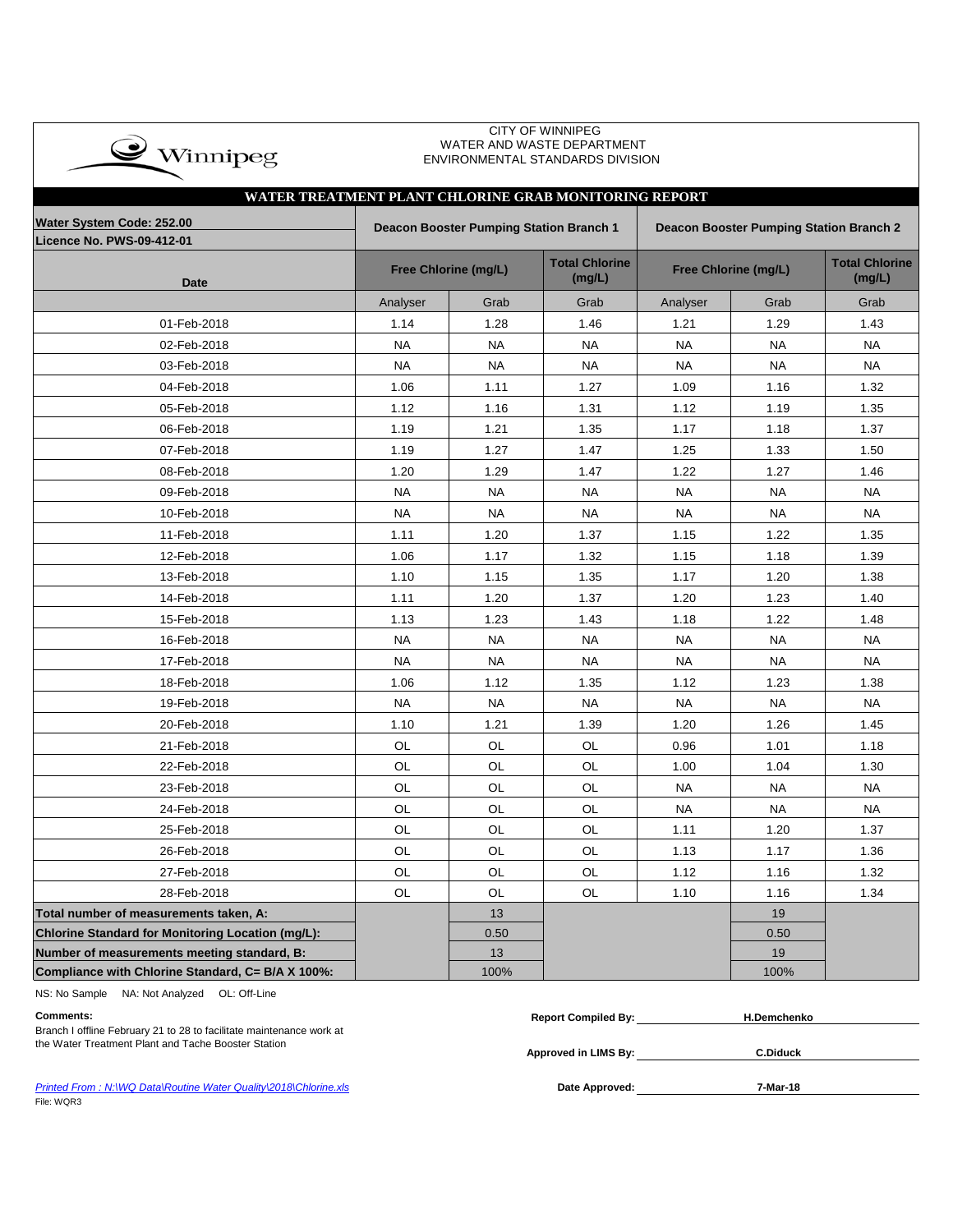| $\bullet$ Winnipeg |
|--------------------|
|                    |

### CITY OF WINNIPEG WATER AND WASTE DEPARTMENT ENVIRONMENTAL STANDARDS DIVISION

# **Licence No. PWS-09-412-01 Date Total Chlorine (mg/L) Total Chlorine (mg/L)** Analyser | Grab | Grab | Analyser | Grab | Grab 01-Feb-2018 | 1.14 | 1.28 | 1.46 | 1.21 | 1.29 | 1.43 02-Feb-2018 | NA | NA | NA | NA | NA | NA 03-Feb-2018 | NA | NA | NA | NA | NA | NA 04-Feb-2018 | 1.06 | 1.11 | 1.27 | 1.09 | 1.16 | 1.32 05-Feb-2018 | 1.12 | 1.16 | 1.31 | 1.12 | 1.19 | 1.35 06-Feb-2018 | 1.19 | 1.21 | 1.35 | 1.17 | 1.18 | 1.37 07-Feb-2018 | 1.19 | 1.27 | 1.47 | 1.25 | 1.33 | 1.50 08-Feb-2018 1.20 1.29 1.47 1.22 1.27 1.46 09-Feb-2018 | NA | NA | NA | NA | NA | NA 10-Feb-2018 | NA | NA | NA | NA | NA | NA 11-Feb-2018 | 1.11 | 1.20 | 1.37 | 1.15 | 1.22 | 1.35 12-Feb-2018 | 1.06 | 1.17 | 1.32 | 1.15 | 1.18 | 1.39 13-Feb-2018 | 1.10 | 1.15 | 1.35 | 1.17 | 1.20 | 1.38 14-Feb-2018 | 1.11 | 1.20 | 1.37 | 1.20 | 1.23 | 1.40 15-Feb-2018 | 1.13 | 1.23 | 1.43 | 1.18 | 1.22 | 1.48 16-Feb-2018 | NA | NA | NA | NA | NA | NA 17-Feb-2018 | NA | NA | NA | NA | NA | NA 18-Feb-2018 1.06 1.12 1.35 1.12 1.23 1.38 19-Feb-2018 | NA | NA | NA | NA | NA | NA 20-Feb-2018 1.10 1.21 1.39 1.20 1.26 1.45 21-Feb-2018 | OL | OL | OL | 0.96 | 1.01 | 1.18 22-Feb-2018 | OL | OL | OL | 1.00 | 1.04 | 1.30 23-Feb-2018 | OL | OL | OL | NA | NA | NA 24-Feb-2018 | OL | OL | OL | NA | NA | NA 25-Feb-2018 | OL | OL | OL | 1.11 | 1.20 | 1.37 26-Feb-2018 OL OL OL 1.13 1.17 1.36 27-Feb-2018 | OL | OL | OL | 1.12 | 1.16 | 1.32 28-Feb-2018 | OL | OL | OL | 1.10 | 1.16 | 1.34 **Total number of measurements taken, A:** 13 19 **Chlorine Standard for Monitoring Location (mg/L):** 0.50 0.50 **Number of measurements meeting standard, B:** 13 19 13 19 19 19 19 **Compliance with Chlorine Standard, C= B/A X 100%:** 100% 100% **WATER TREATMENT PLANT CHLORINE GRAB MONITORING REPORT Water System Code: 252.00 Deacon Booster Pumping Station Branch 1 Deacon Booster Pumping Station Branch 2** Free Chlorine (mg/L) **Free Chloring** Free Chlorine (mg/L)

NS: No Sample NA: Not Analyzed OL: Off-Line

| Comments:                                                            | <b>Report Compiled By:</b> | <b>H.Demchenko</b> |
|----------------------------------------------------------------------|----------------------------|--------------------|
| Branch I offline February 21 to 28 to facilitate maintenance work at |                            |                    |
| the Water Treatment Plant and Tache Booster Station                  |                            |                    |
|                                                                      | Approved in LIMS By:       | <b>C.Diduck</b>    |

**Approved in LIMS By:**

**Printed From : N:\WQ Data\Routine Water Quality\2018\Chlorine.xls <b>Date Approved: Date Approved:** File: WQR3

**7-Mar-18**